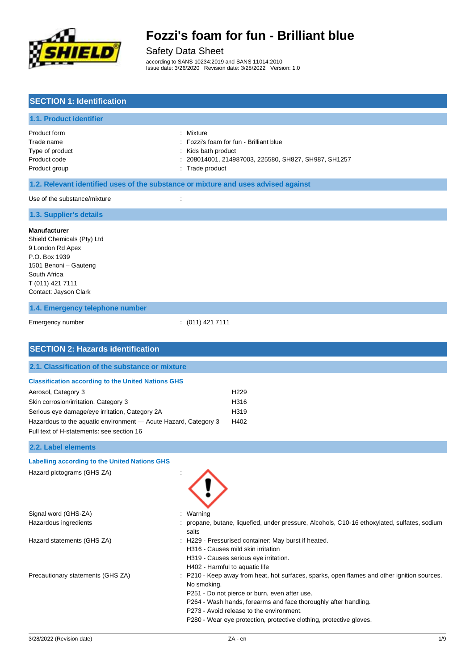

# Safety Data Sheet

according to SANS 10234:2019 and SANS 11014:2010 Issue date: 3/26/2020 Revision date: 3/28/2022 Version: 1.0

### **SECTION 1: Identification**

#### **1.1. Product identifier**

| Product form    |
|-----------------|
| Trade name      |
| Type of product |
| Product code    |
| Product group   |

: Mixture

- : Fozzi's foam for fun Brilliant blue
- : Kids bath product
- : 208014001, 214987003, 225580, SH827, SH987, SH1257
- group  $\qquad \qquad$  : Trade product

#### **1.2. Relevant identified uses of the substance or mixture and uses advised against**

Use of the substance/mixture in the substance of the substance  $\cdot$  :

#### **1.3. Supplier's details**

#### **Manufacturer**

Shield Chemicals (Pty) Ltd 9 London Rd Apex P.O. Box 1939 1501 Benoni – Gauteng South Africa T (011) 421 7111 Contact: Jayson Clark

#### **1.4. Emergency telephone number**

```
Emergency number : (011) 421 7111
```

| <b>SECTION 2: Hazards identification</b>                                                                     |                                                                                                                                                                                                                                                                                                                                                   |
|--------------------------------------------------------------------------------------------------------------|---------------------------------------------------------------------------------------------------------------------------------------------------------------------------------------------------------------------------------------------------------------------------------------------------------------------------------------------------|
| 2.1. Classification of the substance or mixture                                                              |                                                                                                                                                                                                                                                                                                                                                   |
| <b>Classification according to the United Nations GHS</b>                                                    |                                                                                                                                                                                                                                                                                                                                                   |
| Aerosol, Category 3                                                                                          | H <sub>229</sub>                                                                                                                                                                                                                                                                                                                                  |
| Skin corrosion/irritation, Category 3                                                                        | H316                                                                                                                                                                                                                                                                                                                                              |
| Serious eye damage/eye irritation, Category 2A                                                               | H319                                                                                                                                                                                                                                                                                                                                              |
| Hazardous to the aquatic environment - Acute Hazard, Category 3<br>Full text of H-statements: see section 16 | H402                                                                                                                                                                                                                                                                                                                                              |
|                                                                                                              |                                                                                                                                                                                                                                                                                                                                                   |
| 2.2. Label elements                                                                                          |                                                                                                                                                                                                                                                                                                                                                   |
| <b>Labelling according to the United Nations GHS</b>                                                         |                                                                                                                                                                                                                                                                                                                                                   |
| Hazard pictograms (GHS ZA)                                                                                   |                                                                                                                                                                                                                                                                                                                                                   |
| Signal word (GHS-ZA)                                                                                         | Warning                                                                                                                                                                                                                                                                                                                                           |
| Hazardous ingredients                                                                                        | propane, butane, liquefied, under pressure, Alcohols, C10-16 ethoxylated, sulfates, sodium<br>salts                                                                                                                                                                                                                                               |
| Hazard statements (GHS ZA)                                                                                   | H229 - Pressurised container: May burst if heated.<br>H316 - Causes mild skin irritation<br>H319 - Causes serious eye irritation.<br>H402 - Harmful to aquatic life                                                                                                                                                                               |
| Precautionary statements (GHS ZA)                                                                            | : P210 - Keep away from heat, hot surfaces, sparks, open flames and other ignition sources.<br>No smoking.<br>P251 - Do not pierce or burn, even after use.<br>P264 - Wash hands, forearms and face thoroughly after handling.<br>P273 - Avoid release to the environment.<br>P280 - Wear eye protection, protective clothing, protective gloves. |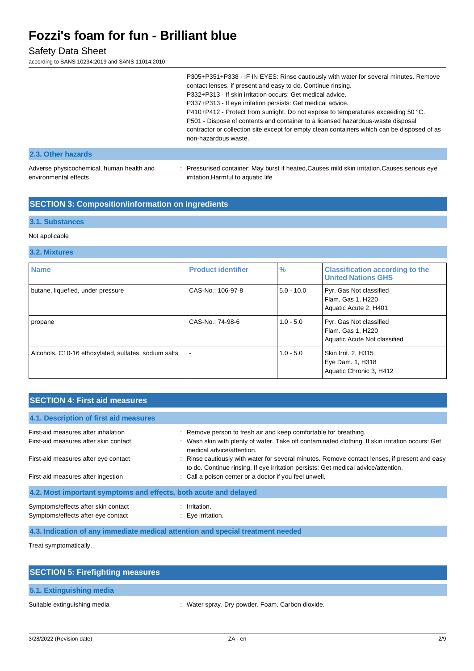### Safety Data Sheet

according to SANS 10234:2019 and SANS 11014:2010

|                                                                    | P305+P351+P338 - IF IN EYES: Rinse cautiously with water for several minutes. Remove<br>contact lenses, if present and easy to do. Continue rinsing.<br>P332+P313 - If skin irritation occurs: Get medical advice.<br>P337+P313 - If eye irritation persists: Get medical advice.<br>P410+P412 - Protect from sunlight. Do not expose to temperatures exceeding 50 °C.<br>P501 - Dispose of contents and container to a licensed hazardous-waste disposal<br>contractor or collection site except for empty clean containers which can be disposed of as<br>non-hazardous waste. |
|--------------------------------------------------------------------|----------------------------------------------------------------------------------------------------------------------------------------------------------------------------------------------------------------------------------------------------------------------------------------------------------------------------------------------------------------------------------------------------------------------------------------------------------------------------------------------------------------------------------------------------------------------------------|
| 2.3. Other hazards                                                 |                                                                                                                                                                                                                                                                                                                                                                                                                                                                                                                                                                                  |
| Adverse physicochemical, human health and<br>environmental effects | : Pressurised container: May burst if heated, Causes mild skin irritation, Causes serious eye<br>irritation, Harmful to aquatic life                                                                                                                                                                                                                                                                                                                                                                                                                                             |

### **SECTION 3: Composition/information on ingredients**

#### **3.1. Substances**

#### Not applicable

#### **3.2. Mixtures**

| <b>Name</b>                                          | <b>Product identifier</b> | $\frac{9}{6}$ | <b>Classification according to the</b><br><b>United Nations GHS</b>          |
|------------------------------------------------------|---------------------------|---------------|------------------------------------------------------------------------------|
| butane, liquefied, under pressure                    | CAS-No.: 106-97-8         | $5.0 - 10.0$  | Pyr. Gas Not classified<br>Flam. Gas 1, H220<br>Aquatic Acute 2, H401        |
| propane                                              | CAS-No.: 74-98-6          | $1.0 - 5.0$   | Pyr. Gas Not classified<br>Flam. Gas 1, H220<br>Aquatic Acute Not classified |
| Alcohols, C10-16 ethoxylated, sulfates, sodium salts |                           | $1.0 - 5.0$   | Skin Irrit. 2, H315<br>Eye Dam. 1, H318<br>Aquatic Chronic 3, H412           |

### **SECTION 4: First aid measures**

| 4.1. Description of first aid measures                                    |                                                                                                                                                                                     |  |  |
|---------------------------------------------------------------------------|-------------------------------------------------------------------------------------------------------------------------------------------------------------------------------------|--|--|
| First-aid measures after inhalation                                       | : Remove person to fresh air and keep comfortable for breathing.                                                                                                                    |  |  |
| First-aid measures after skin contact                                     | : Wash skin with plenty of water. Take off contaminated clothing. If skin irritation occurs: Get<br>medical advice/attention.                                                       |  |  |
| First-aid measures after eye contact                                      | : Rinse cautiously with water for several minutes. Remove contact lenses, if present and easy<br>to do. Continue rinsing. If eye irritation persists: Get medical advice/attention. |  |  |
| First-aid measures after ingestion                                        | : Call a poison center or a doctor if you feel unwell.                                                                                                                              |  |  |
| 4.2. Most important symptoms and effects, both acute and delayed          |                                                                                                                                                                                     |  |  |
| Symptoms/effects after skin contact<br>Symptoms/effects after eye contact | Irritation.<br>$\therefore$ Eve irritation.                                                                                                                                         |  |  |

#### **4.3. Indication of any immediate medical attention and special treatment needed**

Treat symptomatically.

| <b>SECTION 5: Firefighting measures</b> |                                                  |
|-----------------------------------------|--------------------------------------------------|
| 5.1. Extinguishing media                |                                                  |
| Suitable extinguishing media            | : Water spray. Dry powder. Foam. Carbon dioxide. |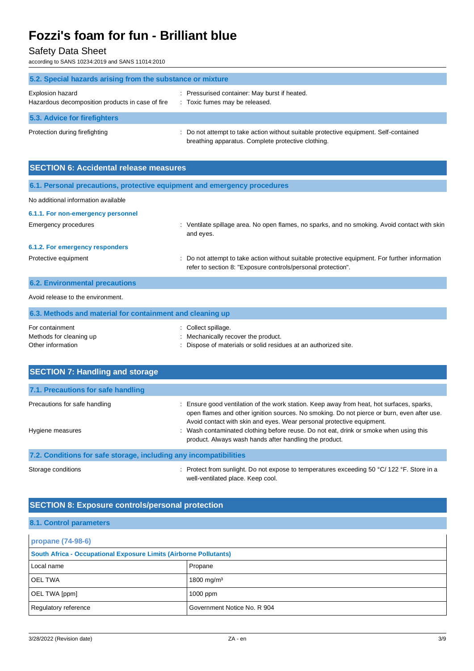Safety Data Sheet

according to SANS 10234:2019 and SANS 11014:2010

| 5.2. Special hazards arising from the substance or mixture           |                                                                                                                                             |  |  |
|----------------------------------------------------------------------|---------------------------------------------------------------------------------------------------------------------------------------------|--|--|
| Explosion hazard<br>Hazardous decomposition products in case of fire | Pressurised container: May burst if heated.<br>: Toxic fumes may be released.                                                               |  |  |
| 5.3. Advice for firefighters                                         |                                                                                                                                             |  |  |
| Protection during firefighting                                       | : Do not attempt to take action without suitable protective equipment. Self-contained<br>breathing apparatus. Complete protective clothing. |  |  |

| <b>SECTION 6: Accidental release measures</b>                            |                                                                                                                                                                |  |  |
|--------------------------------------------------------------------------|----------------------------------------------------------------------------------------------------------------------------------------------------------------|--|--|
| 6.1. Personal precautions, protective equipment and emergency procedures |                                                                                                                                                                |  |  |
| No additional information available                                      |                                                                                                                                                                |  |  |
| 6.1.1. For non-emergency personnel                                       |                                                                                                                                                                |  |  |
| Emergency procedures                                                     | : Ventilate spillage area. No open flames, no sparks, and no smoking. Avoid contact with skin<br>and eyes.                                                     |  |  |
| 6.1.2. For emergency responders                                          |                                                                                                                                                                |  |  |
| Protective equipment                                                     | : Do not attempt to take action without suitable protective equipment. For further information<br>refer to section 8: "Exposure controls/personal protection". |  |  |
| <b>6.2. Environmental precautions</b>                                    |                                                                                                                                                                |  |  |
| Avoid release to the environment.                                        |                                                                                                                                                                |  |  |
| 6.3. Methods and material for containment and cleaning up                |                                                                                                                                                                |  |  |

| For containment         | : Collect spillage.                                             |
|-------------------------|-----------------------------------------------------------------|
| Methods for cleaning up | Mechanically recover the product.                               |
| Other information       | : Dispose of materials or solid residues at an authorized site. |

| <b>SECTION 7: Handling and storage</b>                            |                                                                                                                                                                                                                                                                |  |
|-------------------------------------------------------------------|----------------------------------------------------------------------------------------------------------------------------------------------------------------------------------------------------------------------------------------------------------------|--|
| 7.1. Precautions for safe handling                                |                                                                                                                                                                                                                                                                |  |
| Precautions for safe handling                                     | Ensure good ventilation of the work station. Keep away from heat, hot surfaces, sparks,<br>open flames and other ignition sources. No smoking. Do not pierce or burn, even after use.<br>Avoid contact with skin and eyes. Wear personal protective equipment. |  |
| Hygiene measures                                                  | : Wash contaminated clothing before reuse. Do not eat, drink or smoke when using this<br>product. Always wash hands after handling the product.                                                                                                                |  |
| 7.2. Conditions for safe storage, including any incompatibilities |                                                                                                                                                                                                                                                                |  |

Storage conditions : Protect from sunlight. Do not expose to temperatures exceeding 50 °C/ 122 °F. Store in a well-ventilated place. Keep cool.

### **SECTION 8: Exposure controls/personal protection**

#### **8.1. Control parameters**

| propane (74-98-6)                                                 |                             |  |
|-------------------------------------------------------------------|-----------------------------|--|
| South Africa - Occupational Exposure Limits (Airborne Pollutants) |                             |  |
| Local name                                                        | Propane                     |  |
| <b>OEL TWA</b>                                                    | 1800 mg/m <sup>3</sup>      |  |
| OEL TWA [ppm]                                                     | $1000$ ppm                  |  |
| Regulatory reference                                              | Government Notice No. R 904 |  |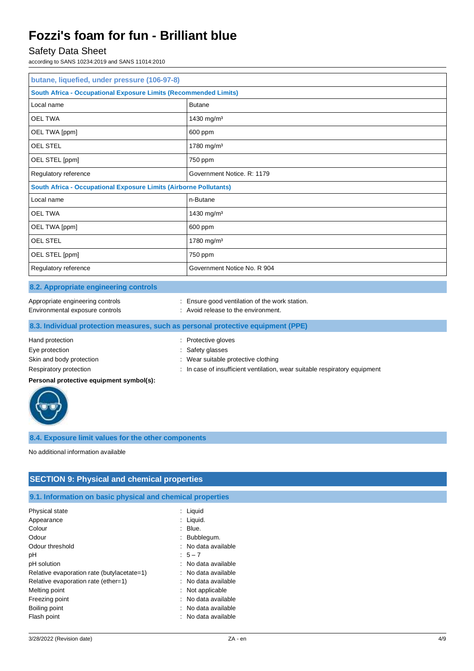### Safety Data Sheet

according to SANS 10234:2019 and SANS 11014:2010

| butane, liquefied, under pressure (106-97-8)                             |                             |  |  |
|--------------------------------------------------------------------------|-----------------------------|--|--|
| <b>South Africa - Occupational Exposure Limits (Recommended Limits)</b>  |                             |  |  |
| Local name                                                               | <b>Butane</b>               |  |  |
| <b>OEL TWA</b>                                                           | 1430 mg/m <sup>3</sup>      |  |  |
| OEL TWA [ppm]                                                            | 600 ppm                     |  |  |
| <b>OEL STEL</b>                                                          | 1780 mg/m <sup>3</sup>      |  |  |
| OEL STEL [ppm]                                                           | 750 ppm                     |  |  |
| Regulatory reference                                                     | Government Notice, R: 1179  |  |  |
| <b>South Africa - Occupational Exposure Limits (Airborne Pollutants)</b> |                             |  |  |
| Local name                                                               | n-Butane                    |  |  |
| <b>OEL TWA</b>                                                           | 1430 mg/m <sup>3</sup>      |  |  |
| OEL TWA [ppm]                                                            | 600 ppm                     |  |  |
| OEL STEL                                                                 | 1780 mg/m <sup>3</sup>      |  |  |
| OEL STEL [ppm]                                                           | 750 ppm                     |  |  |
| Regulatory reference                                                     | Government Notice No. R 904 |  |  |

#### **8.2. Appropriate engineering controls**

| Appropriate engineering controls |  |
|----------------------------------|--|
|                                  |  |

Environmental exposure controls : Avoid release to the environment.

: Ensure good ventilation of the work station.

- 
- 

#### **8.3. Individual protection measures, such as personal protective equipment (PPE)**

# Hand protection **in the contract of the Contract Server Contract Contract Protective gloves** : Protective gloves Eye protection  $\qquad \qquad$ : Safety glasses Skin and body protection : Wear suitable protective clothing

Respiratory protection : In case of insufficient ventilation, wear suitable respiratory equipment

#### **Personal protective equipment symbol(s):**



#### **8.4. Exposure limit values for the other components**

No additional information available

## **SECTION 9: Physical and chemical properties**

**9.1. Information on basic physical and chemical properties**

| Physical state                             | : Liquid            |
|--------------------------------------------|---------------------|
| Appearance                                 | Liquid.             |
| Colour                                     | Blue.               |
| Odour                                      | : Bubblegum.        |
| Odour threshold                            | : No data available |
| рH                                         | $5 - 7$             |
| pH solution                                | : No data available |
| Relative evaporation rate (butylacetate=1) | : No data available |
| Relative evaporation rate (ether=1)        | : No data available |
| Melting point                              | $:$ Not applicable  |
| Freezing point                             | No data available   |
| Boiling point                              | : No data available |
| Flash point                                | No data available   |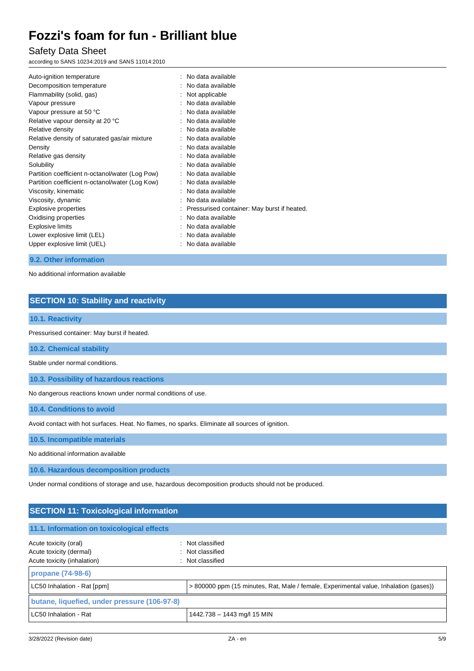### Safety Data Sheet

according to SANS 10234:2019 and SANS 11014:2010

| Auto-ignition temperature                       | : No data available                           |
|-------------------------------------------------|-----------------------------------------------|
| Decomposition temperature                       | No data available                             |
| Flammability (solid, gas)                       | Not applicable                                |
| Vapour pressure                                 | No data available                             |
| Vapour pressure at 50 °C                        | : No data available                           |
| Relative vapour density at 20 °C                | No data available                             |
| Relative density                                | No data available                             |
| Relative density of saturated gas/air mixture   | No data available                             |
| Density                                         | No data available                             |
| Relative gas density                            | No data available                             |
| Solubility                                      | No data available                             |
| Partition coefficient n-octanol/water (Log Pow) | : No data available                           |
| Partition coefficient n-octanol/water (Log Kow) | : No data available                           |
| Viscosity, kinematic                            | No data available                             |
| Viscosity, dynamic                              | No data available                             |
| Explosive properties                            | : Pressurised container: May burst if heated. |
| Oxidising properties                            | No data available                             |
| Explosive limits                                | No data available                             |
| Lower explosive limit (LEL)                     | No data available                             |
| Upper explosive limit (UEL)                     | No data available                             |
|                                                 |                                               |

#### **9.2. Other information**

No additional information available

### **SECTION 10: Stability and reactivity**

#### **10.1. Reactivity**

Pressurised container: May burst if heated.

**10.2. Chemical stability**

Stable under normal conditions.

**10.3. Possibility of hazardous reactions**

No dangerous reactions known under normal conditions of use.

**10.4. Conditions to avoid**

Avoid contact with hot surfaces. Heat. No flames, no sparks. Eliminate all sources of ignition.

**10.5. Incompatible materials**

No additional information available

**10.6. Hazardous decomposition products**

Under normal conditions of storage and use, hazardous decomposition products should not be produced.

| <b>SECTION 11: Toxicological information</b>                                         |                                                                                       |  |
|--------------------------------------------------------------------------------------|---------------------------------------------------------------------------------------|--|
| 11.1. Information on toxicological effects                                           |                                                                                       |  |
| Acute toxicity (oral)<br>Acute toxicity (dermal)<br>Acute toxicity (inhalation)<br>÷ | : Not classified<br>: Not classified<br>Not classified                                |  |
| propane (74-98-6)<br>LC50 Inhalation - Rat [ppm]                                     | > 800000 ppm (15 minutes, Rat, Male / female, Experimental value, Inhalation (gases)) |  |
| butane, liquefied, under pressure (106-97-8)<br>LC50 Inhalation - Rat                | 1442.738 - 1443 mg/l 15 MIN                                                           |  |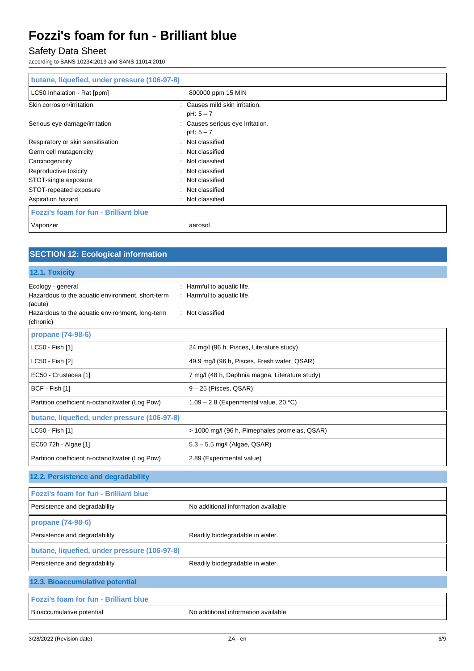# Safety Data Sheet

according to SANS 10234:2019 and SANS 11014:2010

| butane, liquefied, under pressure (106-97-8) |                                                     |
|----------------------------------------------|-----------------------------------------------------|
| LC50 Inhalation - Rat [ppm]                  | 800000 ppm 15 MIN                                   |
| Skin corrosion/irritation                    | : Causes mild skin irritation.<br>$pH: 5 - 7$       |
| Serious eye damage/irritation                | Causes serious eye irritation.<br>÷.<br>$pH: 5 - 7$ |
| Respiratory or skin sensitisation            | Not classified<br>÷                                 |
| Germ cell mutagenicity                       | : Not classified                                    |
| Carcinogenicity                              | Not classified<br>÷                                 |
| Reproductive toxicity                        | Not classified<br>÷                                 |
| STOT-single exposure                         | Not classified<br>÷                                 |
| STOT-repeated exposure                       | : Not classified                                    |
| Aspiration hazard                            | Not classified<br>÷                                 |
| <b>Fozzi's foam for fun - Brilliant blue</b> |                                                     |
| Vaporizer                                    | aerosol                                             |

## **SECTION 12: Ecological information**

#### **12.1. Toxicity**

| Ecology - general<br>Hazardous to the aquatic environment, short-term<br>(acute)<br>Hazardous to the aquatic environment, long-term<br>(chronic) | : Harmful to aquatic life.<br>: Harmful to aquatic life.<br>: Not classified |  |  |
|--------------------------------------------------------------------------------------------------------------------------------------------------|------------------------------------------------------------------------------|--|--|
| propane (74-98-6)                                                                                                                                |                                                                              |  |  |
| LC50 - Fish [1]                                                                                                                                  | 24 mg/l (96 h, Pisces, Literature study)                                     |  |  |
| LC50 - Fish [2]                                                                                                                                  | 49.9 mg/l (96 h, Pisces, Fresh water, QSAR)                                  |  |  |
| EC50 - Crustacea [1]                                                                                                                             | 7 mg/l (48 h, Daphnia magna, Literature study)                               |  |  |
| BCF - Fish [1]                                                                                                                                   | $9 - 25$ (Pisces, QSAR)                                                      |  |  |
| Partition coefficient n-octanol/water (Log Pow)                                                                                                  | 1.09 - 2.8 (Experimental value, 20 °C)                                       |  |  |
| butane, liquefied, under pressure (106-97-8)                                                                                                     |                                                                              |  |  |
| LC50 - Fish [1]                                                                                                                                  | > 1000 mg/l (96 h, Pimephales promelas, QSAR)                                |  |  |
| EC50 72h - Algae [1]                                                                                                                             | $5.3 - 5.5$ mg/l (Algae, QSAR)                                               |  |  |
| Partition coefficient n-octanol/water (Log Pow)                                                                                                  | 2.89 (Experimental value)                                                    |  |  |
| 12.2. Persistence and degradability                                                                                                              |                                                                              |  |  |
| Fozzi's foam for fun - Brilliant blue                                                                                                            |                                                                              |  |  |
| Persistence and degradability                                                                                                                    | No additional information available                                          |  |  |
| propane (74-98-6)                                                                                                                                |                                                                              |  |  |
| Persistence and degradability                                                                                                                    | Readily biodegradable in water.                                              |  |  |
| butane, liquefied, under pressure (106-97-8)                                                                                                     |                                                                              |  |  |
| Persistence and degradability                                                                                                                    | Readily biodegradable in water.                                              |  |  |
| 12.3. Bioaccumulative potential                                                                                                                  |                                                                              |  |  |
| <b>Fozzi's foam for fun - Brilliant blue</b>                                                                                                     |                                                                              |  |  |
| Bioaccumulative potential                                                                                                                        | No additional information available                                          |  |  |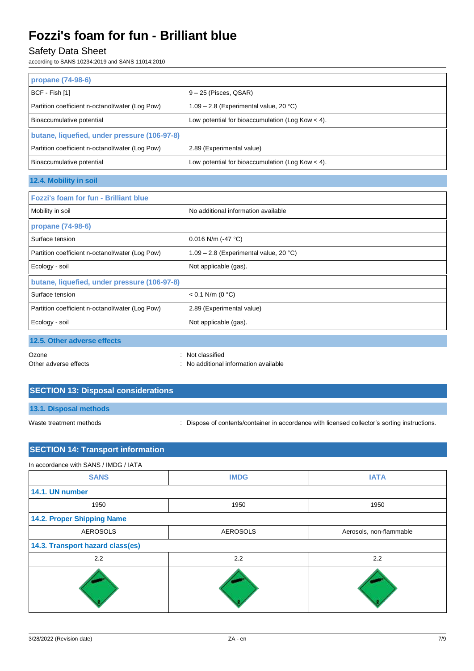## Safety Data Sheet

according to SANS 10234:2019 and SANS 11014:2010

| propane (74-98-6)                               |                                                    |  |  |
|-------------------------------------------------|----------------------------------------------------|--|--|
| BCF - Fish [1]                                  | $9 - 25$ (Pisces, QSAR)                            |  |  |
| Partition coefficient n-octanol/water (Log Pow) | 1.09 - 2.8 (Experimental value, 20 °C)             |  |  |
| Bioaccumulative potential                       | Low potential for bioaccumulation (Log Kow $<$ 4). |  |  |
| butane, liquefied, under pressure (106-97-8)    |                                                    |  |  |
| Partition coefficient n-octanol/water (Log Pow) | 2.89 (Experimental value)                          |  |  |
| Bioaccumulative potential                       | Low potential for bioaccumulation (Log Kow $<$ 4). |  |  |
| 12.4. Mobility in soil                          |                                                    |  |  |
| <b>Fozzi's foam for fun - Brilliant blue</b>    |                                                    |  |  |
| Mobility in soil                                | No additional information available                |  |  |
| propane (74-98-6)                               |                                                    |  |  |
|                                                 |                                                    |  |  |
| Surface tension                                 | 0.016 N/m (-47 $^{\circ}$ C)                       |  |  |
| Partition coefficient n-octanol/water (Log Pow) | 1.09 - 2.8 (Experimental value, 20 °C)             |  |  |
| Ecology - soil                                  | Not applicable (gas).                              |  |  |
| butane, liquefied, under pressure (106-97-8)    |                                                    |  |  |
| Surface tension                                 | $< 0.1$ N/m (0 °C)                                 |  |  |
| Partition coefficient n-octanol/water (Log Pow) | 2.89 (Experimental value)                          |  |  |
| Ecology - soil                                  | Not applicable (gas).                              |  |  |
| 12.5. Other adverse effects                     |                                                    |  |  |

Other adverse effects **in the contract of the contract of the contract of the contract of the contract of the contract of the contract of the contract of the contract of the contract of the contract of the contract of the** 

## **SECTION 13: Disposal considerations**

**13.1. Disposal methods**

Waste treatment methods : Dispose of contents/container in accordance with licensed collector's sorting instructions.

## **SECTION 14: Transport information**

| In accordance with SANS / IMDG / IATA |                 |                         |  |
|---------------------------------------|-----------------|-------------------------|--|
| <b>SANS</b>                           | <b>IMDG</b>     | <b>IATA</b>             |  |
| 14.1. UN number                       |                 |                         |  |
| 1950                                  | 1950            | 1950                    |  |
| 14.2. Proper Shipping Name            |                 |                         |  |
| <b>AEROSOLS</b>                       | <b>AEROSOLS</b> | Aerosols, non-flammable |  |
| 14.3. Transport hazard class(es)      |                 |                         |  |
| 2.2                                   | 2.2             | 2.2                     |  |
|                                       |                 |                         |  |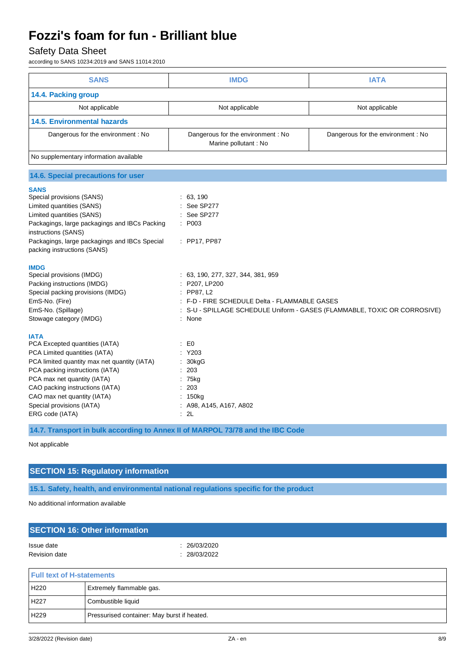## Safety Data Sheet

according to SANS 10234:2019 and SANS 11014:2010

| 14.4. Packing group<br>Not applicable<br><b>14.5. Environmental hazards</b>                                                                                                                                                                                                                                                                                                                                                                                                                                                                                                                                                                                                                                                                                                          | Not applicable                                                                                                                                                                                                                                      | Not applicable                                                          |
|--------------------------------------------------------------------------------------------------------------------------------------------------------------------------------------------------------------------------------------------------------------------------------------------------------------------------------------------------------------------------------------------------------------------------------------------------------------------------------------------------------------------------------------------------------------------------------------------------------------------------------------------------------------------------------------------------------------------------------------------------------------------------------------|-----------------------------------------------------------------------------------------------------------------------------------------------------------------------------------------------------------------------------------------------------|-------------------------------------------------------------------------|
|                                                                                                                                                                                                                                                                                                                                                                                                                                                                                                                                                                                                                                                                                                                                                                                      |                                                                                                                                                                                                                                                     |                                                                         |
|                                                                                                                                                                                                                                                                                                                                                                                                                                                                                                                                                                                                                                                                                                                                                                                      |                                                                                                                                                                                                                                                     |                                                                         |
|                                                                                                                                                                                                                                                                                                                                                                                                                                                                                                                                                                                                                                                                                                                                                                                      |                                                                                                                                                                                                                                                     |                                                                         |
| Dangerous for the environment: No                                                                                                                                                                                                                                                                                                                                                                                                                                                                                                                                                                                                                                                                                                                                                    | Dangerous for the environment : No<br>Marine pollutant : No                                                                                                                                                                                         | Dangerous for the environment: No                                       |
| No supplementary information available                                                                                                                                                                                                                                                                                                                                                                                                                                                                                                                                                                                                                                                                                                                                               |                                                                                                                                                                                                                                                     |                                                                         |
| 14.6. Special precautions for user                                                                                                                                                                                                                                                                                                                                                                                                                                                                                                                                                                                                                                                                                                                                                   |                                                                                                                                                                                                                                                     |                                                                         |
| <b>SANS</b><br>Special provisions (SANS)<br>Limited quantities (SANS)<br>Limited quantities (SANS)<br>Packagings, large packagings and IBCs Packing<br>: P003<br>instructions (SANS)<br>Packagings, large packagings and IBCs Special<br>packing instructions (SANS)<br><b>IMDG</b><br>Special provisions (IMDG)<br>Packing instructions (IMDG)<br>Special packing provisions (IMDG)<br>EmS-No. (Fire)<br>EmS-No. (Spillage)<br>Stowage category (IMDG)<br><b>IATA</b><br>PCA Excepted quantities (IATA)<br>$\mathbf{E}$ EO<br>PCA Limited quantities (IATA)<br>PCA limited quantity max net quantity (IATA)<br>PCA packing instructions (IATA)<br>203<br>PCA max net quantity (IATA)<br>CAO packing instructions (IATA)<br>CAO max net quantity (IATA)<br>Special provisions (IATA) | : 63, 190<br>See SP277<br>See SP277<br>: PP17, PP87<br>: 63, 190, 277, 327, 344, 381, 959<br>P207, LP200<br>: PP87, L2<br>: F-D - FIRE SCHEDULE Delta - FLAMMABLE GASES<br>None<br>Y203<br>30kgG<br>75kg<br>203<br>: 150kg<br>A98, A145, A167, A802 | S-U - SPILLAGE SCHEDULE Uniform - GASES (FLAMMABLE, TOXIC OR CORROSIVE) |

**14.7. Transport in bulk according to Annex II of MARPOL 73/78 and the IBC Code**

Not applicable

### **SECTION 15: Regulatory information**

**15.1. Safety, health, and environmental national regulations specific for the product**

No additional information available

| : 26/03/2020 |              |  |
|--------------|--------------|--|
|              |              |  |
|              |              |  |
|              |              |  |
|              | : 28/03/2022 |  |

| <u>H UILLEAL UL FIBRATITEIRS</u> |                                             |
|----------------------------------|---------------------------------------------|
| H220                             | <b>Extremely flammable gas.</b>             |
| H <sub>227</sub>                 | Combustible liquid                          |
| H229                             | Pressurised container: May burst if heated. |